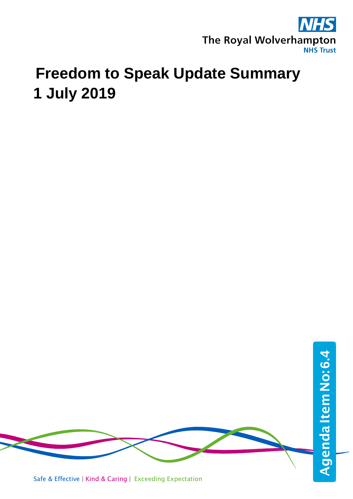

# **Freedom to Speak Update Summary 1 July 2019**



Safe & Effective | Kind & Caring | Exceeding Expectation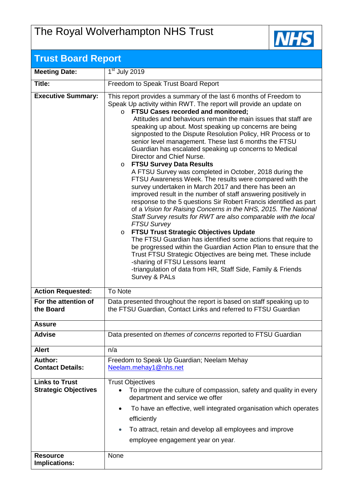## The Royal Wolverhampton NHS Trust



| <b>Trust Board Report</b>                            |                                                                                                                                                                                                                                                                                                                                                                                                                                                                                                                                                                                                                                                                                                                                                                                                                                                                                                                                                                                                                                                                                                                                                                                                                                                                                                                                                                                                                            |
|------------------------------------------------------|----------------------------------------------------------------------------------------------------------------------------------------------------------------------------------------------------------------------------------------------------------------------------------------------------------------------------------------------------------------------------------------------------------------------------------------------------------------------------------------------------------------------------------------------------------------------------------------------------------------------------------------------------------------------------------------------------------------------------------------------------------------------------------------------------------------------------------------------------------------------------------------------------------------------------------------------------------------------------------------------------------------------------------------------------------------------------------------------------------------------------------------------------------------------------------------------------------------------------------------------------------------------------------------------------------------------------------------------------------------------------------------------------------------------------|
| <b>Meeting Date:</b>                                 | $1st$ July 2019                                                                                                                                                                                                                                                                                                                                                                                                                                                                                                                                                                                                                                                                                                                                                                                                                                                                                                                                                                                                                                                                                                                                                                                                                                                                                                                                                                                                            |
| Title:                                               | Freedom to Speak Trust Board Report                                                                                                                                                                                                                                                                                                                                                                                                                                                                                                                                                                                                                                                                                                                                                                                                                                                                                                                                                                                                                                                                                                                                                                                                                                                                                                                                                                                        |
| <b>Executive Summary:</b>                            | This report provides a summary of the last 6 months of Freedom to<br>Speak Up activity within RWT. The report will provide an update on<br>FTSU Cases recorded and monitored;<br>$\circ$<br>Attitudes and behaviours remain the main issues that staff are<br>speaking up about. Most speaking up concerns are being<br>signposted to the Dispute Resolution Policy, HR Process or to<br>senior level management. These last 6 months the FTSU<br>Guardian has escalated speaking up concerns to Medical<br>Director and Chief Nurse.<br>o FTSU Survey Data Results<br>A FTSU Survey was completed in October, 2018 during the<br>FTSU Awareness Week. The results were compared with the<br>survey undertaken in March 2017 and there has been an<br>improved result in the number of staff answering positively in<br>response to the 5 questions Sir Robert Francis identified as part<br>of a Vision for Raising Concerns in the NHS, 2015. The National<br>Staff Survey results for RWT are also comparable with the local<br><b>FTSU Survey</b><br>○ FTSU Trust Strategic Objectives Update<br>The FTSU Guardian has identified some actions that require to<br>be progressed within the Guardian Action Plan to ensure that the<br>Trust FTSU Strategic Objectives are being met. These include<br>-sharing of FTSU Lessons learnt<br>-triangulation of data from HR, Staff Side, Family & Friends<br>Survey & PALs |
| <b>Action Requested:</b>                             | To Note                                                                                                                                                                                                                                                                                                                                                                                                                                                                                                                                                                                                                                                                                                                                                                                                                                                                                                                                                                                                                                                                                                                                                                                                                                                                                                                                                                                                                    |
| For the attention of<br>the Board                    | Data presented throughout the report is based on staff speaking up to<br>the FTSU Guardian, Contact Links and referred to FTSU Guardian                                                                                                                                                                                                                                                                                                                                                                                                                                                                                                                                                                                                                                                                                                                                                                                                                                                                                                                                                                                                                                                                                                                                                                                                                                                                                    |
| <b>Assure</b>                                        |                                                                                                                                                                                                                                                                                                                                                                                                                                                                                                                                                                                                                                                                                                                                                                                                                                                                                                                                                                                                                                                                                                                                                                                                                                                                                                                                                                                                                            |
| <b>Advise</b>                                        | Data presented on <i>themes of concerns</i> reported to FTSU Guardian                                                                                                                                                                                                                                                                                                                                                                                                                                                                                                                                                                                                                                                                                                                                                                                                                                                                                                                                                                                                                                                                                                                                                                                                                                                                                                                                                      |
| <b>Alert</b>                                         | n/a                                                                                                                                                                                                                                                                                                                                                                                                                                                                                                                                                                                                                                                                                                                                                                                                                                                                                                                                                                                                                                                                                                                                                                                                                                                                                                                                                                                                                        |
| <b>Author:</b><br><b>Contact Details:</b>            | Freedom to Speak Up Guardian; Neelam Mehay<br>Neelam.mehay1@nhs.net                                                                                                                                                                                                                                                                                                                                                                                                                                                                                                                                                                                                                                                                                                                                                                                                                                                                                                                                                                                                                                                                                                                                                                                                                                                                                                                                                        |
| <b>Links to Trust</b><br><b>Strategic Objectives</b> | <b>Trust Objectives</b><br>To improve the culture of compassion, safety and quality in every<br>$\bullet$<br>department and service we offer<br>To have an effective, well integrated organisation which operates<br>$\bullet$<br>efficiently<br>To attract, retain and develop all employees and improve<br>$\bullet$<br>employee engagement year on year.                                                                                                                                                                                                                                                                                                                                                                                                                                                                                                                                                                                                                                                                                                                                                                                                                                                                                                                                                                                                                                                                |
| <b>Resource</b><br>Implications:                     | None                                                                                                                                                                                                                                                                                                                                                                                                                                                                                                                                                                                                                                                                                                                                                                                                                                                                                                                                                                                                                                                                                                                                                                                                                                                                                                                                                                                                                       |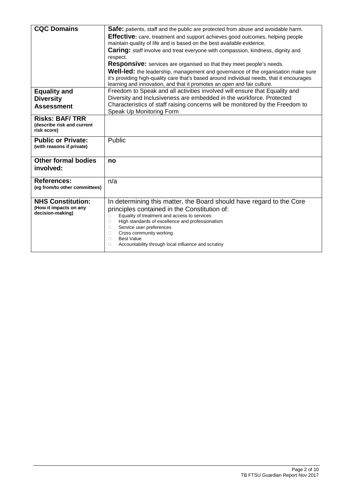| <b>CQC Domains</b>            | <b>Safe:</b> patients, staff and the public are protected from abuse and avoidable harm.          |
|-------------------------------|---------------------------------------------------------------------------------------------------|
|                               | <b>Effective:</b> care, treatment and support achieves good outcomes, helping people              |
|                               | maintain quality of life and is based on the best available evidence.                             |
|                               | <b>Caring:</b> staff involve and treat everyone with compassion, kindness, dignity and            |
|                               | respect.                                                                                          |
|                               | <b>Responsive:</b> services are organised so that they meet people's needs.                       |
|                               | Well-led: the leadership, management and governance of the organisation make sure                 |
|                               | it's providing high-quality care that's based around individual needs, that it encourages         |
|                               | learning and innovation, and that it promotes an open and fair culture.                           |
| <b>Equality and</b>           | Freedom to Speak and all activities involved will ensure that Equality and                        |
| <b>Diversity</b>              | Diversity and Inclusiveness are embedded in the workforce. Protected                              |
| <b>Assessment</b>             | Characteristics of staff raising concerns will be monitored by the Freedom to                     |
|                               | Speak Up Monitoring Form                                                                          |
| <b>Risks: BAF/TRR</b>         |                                                                                                   |
| (describe risk and current    |                                                                                                   |
| risk score)                   |                                                                                                   |
| <b>Public or Private:</b>     | Public                                                                                            |
| (with reasons if private)     |                                                                                                   |
|                               |                                                                                                   |
| <b>Other formal bodies</b>    | no                                                                                                |
| involved:                     |                                                                                                   |
|                               |                                                                                                   |
| References:                   | n/a                                                                                               |
| (eg from/to other committees) |                                                                                                   |
|                               |                                                                                                   |
|                               |                                                                                                   |
| <b>NHS Constitution:</b>      | In determining this matter, the Board should have regard to the Core                              |
| (How it impacts on any        |                                                                                                   |
| decision-making)              | principles contained in the Constitution of:<br>Equality of treatment and access to services<br>□ |
|                               | High standards of excellence and professionalism<br>$\Box$                                        |
|                               | $\Box$<br>Service user preferences                                                                |
|                               | Cross community working<br>п                                                                      |
|                               | <b>Best Value</b><br>$\Box$                                                                       |
|                               | П<br>Accountability through local influence and scrutiny                                          |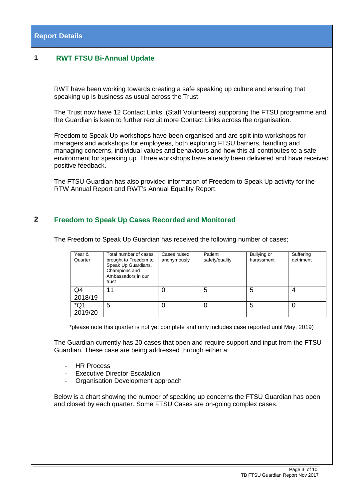|                | <b>Report Details</b> |                                                                             |                                                                                                                                                                                                                                                                                                                                                                                                                                                                                                                                                                                                                                                                                                                                                                                                                                                       |                                              |                                                            |                                     |                                  |
|----------------|-----------------------|-----------------------------------------------------------------------------|-------------------------------------------------------------------------------------------------------------------------------------------------------------------------------------------------------------------------------------------------------------------------------------------------------------------------------------------------------------------------------------------------------------------------------------------------------------------------------------------------------------------------------------------------------------------------------------------------------------------------------------------------------------------------------------------------------------------------------------------------------------------------------------------------------------------------------------------------------|----------------------------------------------|------------------------------------------------------------|-------------------------------------|----------------------------------|
| 1              |                       |                                                                             | <b>RWT FTSU Bi-Annual Update</b>                                                                                                                                                                                                                                                                                                                                                                                                                                                                                                                                                                                                                                                                                                                                                                                                                      |                                              |                                                            |                                     |                                  |
|                |                       | positive feedback.                                                          | RWT have been working towards creating a safe speaking up culture and ensuring that<br>speaking up is business as usual across the Trust.<br>The Trust now have 12 Contact Links, (Staff Volunteers) supporting the FTSU programme and<br>the Guardian is keen to further recruit more Contact Links across the organisation.<br>Freedom to Speak Up workshops have been organised and are split into workshops for<br>managers and workshops for employees, both exploring FTSU barriers, handling and<br>managing concerns, individual values and behaviours and how this all contributes to a safe<br>environment for speaking up. Three workshops have already been delivered and have received<br>The FTSU Guardian has also provided information of Freedom to Speak Up activity for the<br>RTW Annual Report and RWT's Annual Equality Report. |                                              |                                                            |                                     |                                  |
| $\overline{2}$ |                       |                                                                             | <b>Freedom to Speak Up Cases Recorded and Monitored</b>                                                                                                                                                                                                                                                                                                                                                                                                                                                                                                                                                                                                                                                                                                                                                                                               |                                              |                                                            |                                     |                                  |
|                |                       | Year &<br>Quarter<br>Q4<br>2018/19<br>$*Q1$<br>2019/20<br><b>HR Process</b> | The Freedom to Speak Up Guardian has received the following number of cases;<br>Total number of cases<br>brought to Freedom to<br>Speak Up Guardians,<br>Champions and<br>Ambassadors in our<br>trust<br>11<br>5<br>*please note this quarter is not yet complete and only includes case reported until May, 2019)<br>The Guardian currently has 20 cases that open and require support and input from the FTSU<br>Guardian. These case are being addressed through either a;<br><b>Executive Director Escalation</b><br>Organisation Development approach<br>Below is a chart showing the number of speaking up concerns the FTSU Guardian has open<br>and closed by each quarter. Some FTSU Cases are on-going complex cases.                                                                                                                       | Cases raised<br>anonymously<br>0<br>$\Omega$ | Patient<br>safety/quality<br>$\overline{5}$<br>$\mathbf 0$ | Bullying or<br>harassment<br>5<br>5 | Suffering<br>detriment<br>4<br>0 |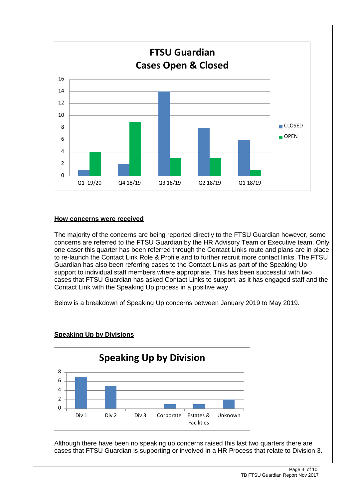

#### **How concerns were received**

The majority of the concerns are being reported directly to the FTSU Guardian however, some concerns are referred to the FTSU Guardian by the HR Advisory Team or Executive team. Only one caser this quarter has been referred through the Contact Links route and plans are in place to re-launch the Contact Link Role & Profile and to further recruit more contact links. The FTSU Guardian has also been referring cases to the Contact Links as part of the Speaking Up support to individual staff members where appropriate. This has been successful with two cases that FTSU Guardian has asked Contact Links to support, as it has engaged staff and the Contact Link with the Speaking Up process in a positive way.

Below is a breakdown of Speaking Up concerns between January 2019 to May 2019.

#### **Speaking Up by Divisions**



Although there have been no speaking up concerns raised this last two quarters there are cases that FTSU Guardian is supporting or involved in a HR Process that relate to Division 3.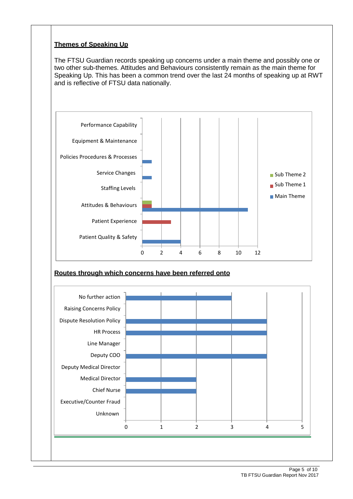#### **Themes of Speaking Up**

The FTSU Guardian records speaking up concerns under a main theme and possibly one or two other sub-themes. Attitudes and Behaviours consistently remain as the main theme for Speaking Up. This has been a common trend over the last 24 months of speaking up at RWT and is reflective of FTSU data nationally.



### **Routes through which concerns have been referred onto**

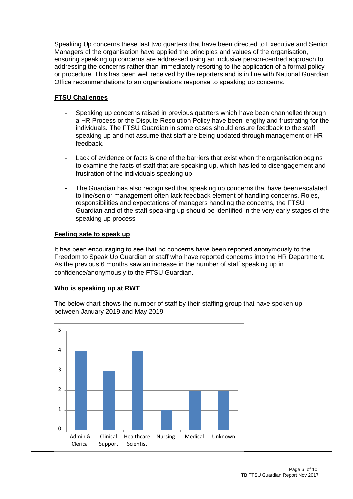Speaking Up concerns these last two quarters that have been directed to Executive and Senior Managers of the organisation have applied the principles and values of the organisation, ensuring speaking up concerns are addressed using an inclusive person-centred approach to addressing the concerns rather than immediately resorting to the application of a formal policy or procedure. This has been well received by the reporters and is in line with National Guardian Office recommendations to an organisations response to speaking up concerns.

#### **FTSU Challenges**

- Speaking up concerns raised in previous quarters which have been channelled through a HR Process or the Dispute Resolution Policy have been lengthy and frustrating for the individuals. The FTSU Guardian in some cases should ensure feedback to the staff speaking up and not assume that staff are being updated through management or HR feedback.
- Lack of evidence or facts is one of the barriers that exist when the organisation begins to examine the facts of staff that are speaking up, which has led to disengagement and frustration of the individuals speaking up
- The Guardian has also recognised that speaking up concerns that have been escalated to line/senior management often lack feedback element of handling concerns. Roles, responsibilities and expectations of managers handling the concerns, the FTSU Guardian and of the staff speaking up should be identified in the very early stages of the speaking up process

#### **Feeling safe to speak up**

It has been encouraging to see that no concerns have been reported anonymously to the Freedom to Speak Up Guardian or staff who have reported concerns into the HR Department. As the previous 6 months saw an increase in the number of staff speaking up in confidence/anonymously to the FTSU Guardian.

#### **Who is speaking up at RWT**

The below chart shows the number of staff by their staffing group that have spoken up between January 2019 and May 2019

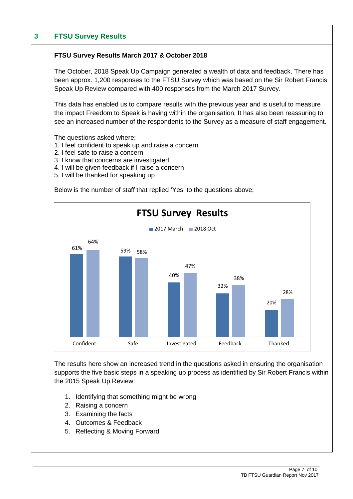| <b>FTSU Survey Results</b>                                                              |                                                                                                                                                                                                                                                                                            |                            |            |            |  |
|-----------------------------------------------------------------------------------------|--------------------------------------------------------------------------------------------------------------------------------------------------------------------------------------------------------------------------------------------------------------------------------------------|----------------------------|------------|------------|--|
|                                                                                         | FTSU Survey Results March 2017 & October 2018                                                                                                                                                                                                                                              |                            |            |            |  |
|                                                                                         | The October, 2018 Speak Up Campaign generated a wealth of data and feedback. There has<br>been approx. 1,200 responses to the FTSU Survey which was based on the Sir Robert Francis<br>Speak Up Review compared with 400 responses from the March 2017 Survey.                             |                            |            |            |  |
|                                                                                         | This data has enabled us to compare results with the previous year and is useful to measure<br>the impact Freedom to Speak is having within the organisation. It has also been reassuring to<br>see an increased number of the respondents to the Survey as a measure of staff engagement. |                            |            |            |  |
| The questions asked where;<br>2. I feel safe to raise a concern                         | 1. I feel confident to speak up and raise a concern<br>3. I know that concerns are investigated<br>4. I will be given feedback if I raise a concern<br>5. I will be thanked for speaking up                                                                                                |                            |            |            |  |
|                                                                                         | Below is the number of staff that replied 'Yes' to the questions above;                                                                                                                                                                                                                    |                            |            |            |  |
|                                                                                         |                                                                                                                                                                                                                                                                                            | <b>FTSU Survey Results</b> |            |            |  |
|                                                                                         |                                                                                                                                                                                                                                                                                            | 2017 March 2018 Oct        |            |            |  |
| 64%<br>61%                                                                              | 59%<br>58%                                                                                                                                                                                                                                                                                 | 47%<br>40%                 | 38%<br>32% | 28%<br>20% |  |
| Confident                                                                               | Safe                                                                                                                                                                                                                                                                                       | Investigated               | Feedback   | Thanked    |  |
| the 2015 Speak Up Review:<br>Raising a concern<br>2.<br>Examining the facts<br>3.<br>4. | The results here show an increased trend in the questions asked in ensuring the organisation<br>supports the five basic steps in a speaking up process as identified by Sir Robert Francis within<br>1. Identifying that something might be wrong<br><b>Outcomes &amp; Feedback</b>        |                            |            |            |  |

5. Reflecting & Moving Forward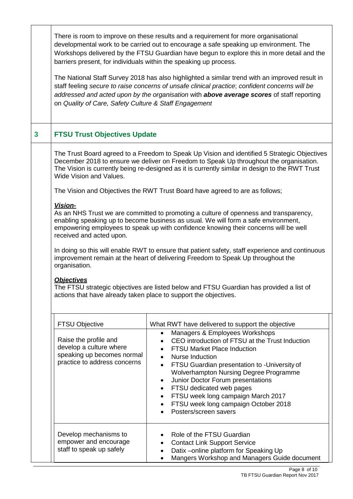|                         | barriers present, for individuals within the speaking up process.<br>on Quality of Care, Safety Culture & Staff Engagement                                               | There is room to improve on these results and a requirement for more organisational<br>developmental work to be carried out to encourage a safe speaking up environment. The<br>Workshops delivered by the FTSU Guardian have begun to explore this in more detail and the<br>The National Staff Survey 2018 has also highlighted a similar trend with an improved result in<br>staff feeling secure to raise concerns of unsafe clinical practice; confident concerns will be<br>addressed and acted upon by the organisation with above average scores of staff reporting                                                                                                                                                                                                                                                                                                                                                        |
|-------------------------|--------------------------------------------------------------------------------------------------------------------------------------------------------------------------|------------------------------------------------------------------------------------------------------------------------------------------------------------------------------------------------------------------------------------------------------------------------------------------------------------------------------------------------------------------------------------------------------------------------------------------------------------------------------------------------------------------------------------------------------------------------------------------------------------------------------------------------------------------------------------------------------------------------------------------------------------------------------------------------------------------------------------------------------------------------------------------------------------------------------------|
| $\overline{\mathbf{3}}$ | <b>FTSU Trust Objectives Update</b>                                                                                                                                      |                                                                                                                                                                                                                                                                                                                                                                                                                                                                                                                                                                                                                                                                                                                                                                                                                                                                                                                                    |
|                         | Wide Vision and Values.<br>Vision-<br>received and acted upon.<br>organisation.<br><b>Objectives</b><br>actions that have already taken place to support the objectives. | The Trust Board agreed to a Freedom to Speak Up Vision and identified 5 Strategic Objectives<br>December 2018 to ensure we deliver on Freedom to Speak Up throughout the organisation.<br>The Vision is currently being re-designed as it is currently similar in design to the RWT Trust<br>The Vision and Objectives the RWT Trust Board have agreed to are as follows;<br>As an NHS Trust we are committed to promoting a culture of openness and transparency,<br>enabling speaking up to become business as usual. We will form a safe environment,<br>empowering employees to speak up with confidence knowing their concerns will be well<br>In doing so this will enable RWT to ensure that patient safety, staff experience and continuous<br>improvement remain at the heart of delivering Freedom to Speak Up throughout the<br>The FTSU strategic objectives are listed below and FTSU Guardian has provided a list of |
|                         | <b>FTSU Objective</b>                                                                                                                                                    | What RWT have delivered to support the objective                                                                                                                                                                                                                                                                                                                                                                                                                                                                                                                                                                                                                                                                                                                                                                                                                                                                                   |
|                         | Raise the profile and<br>develop a culture where<br>speaking up becomes normal<br>practice to address concerns                                                           | Managers & Employees Workshops<br>$\bullet$<br>CEO introduction of FTSU at the Trust Induction<br><b>FTSU Market Place Induction</b><br><b>Nurse Induction</b><br>$\bullet$<br>FTSU Guardian presentation to -University of<br>$\bullet$<br>Wolverhampton Nursing Degree Programme<br>Junior Doctor Forum presentations<br>$\bullet$<br>FTSU dedicated web pages<br>$\bullet$<br>FTSU week long campaign March 2017<br>$\bullet$<br>FTSU week long campaign October 2018<br>$\bullet$<br>Posters/screen savers                                                                                                                                                                                                                                                                                                                                                                                                                     |
|                         | Develop mechanisms to<br>empower and encourage<br>staff to speak up safely                                                                                               | Role of the FTSU Guardian<br><b>Contact Link Support Service</b><br>Datix - online platform for Speaking Up<br>Mangers Workshop and Managers Guide document                                                                                                                                                                                                                                                                                                                                                                                                                                                                                                                                                                                                                                                                                                                                                                        |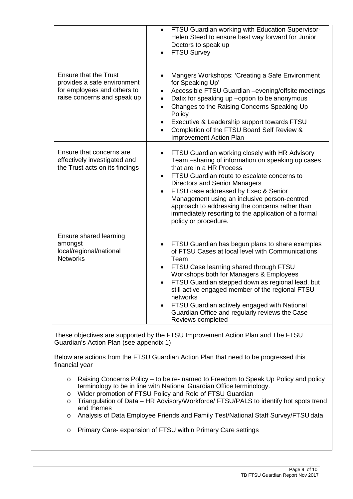|                                                                                                                           | FTSU Guardian working with Education Supervisor-<br>$\bullet$<br>Helen Steed to ensure best way forward for Junior<br>Doctors to speak up<br><b>FTSU Survey</b>                                                                                                                                                                                                                                                                                                |
|---------------------------------------------------------------------------------------------------------------------------|----------------------------------------------------------------------------------------------------------------------------------------------------------------------------------------------------------------------------------------------------------------------------------------------------------------------------------------------------------------------------------------------------------------------------------------------------------------|
| <b>Ensure that the Trust</b><br>provides a safe environment<br>for employees and others to<br>raise concerns and speak up | Mangers Workshops: 'Creating a Safe Environment<br>for Speaking Up'<br>Accessible FTSU Guardian -evening/offsite meetings<br>$\bullet$<br>Datix for speaking up -option to be anonymous<br>$\bullet$<br>Changes to the Raising Concerns Speaking Up<br>$\bullet$<br>Policy<br>Executive & Leadership support towards FTSU<br>$\bullet$<br>Completion of the FTSU Board Self Review &<br>$\bullet$<br>Improvement Action Plan                                   |
| Ensure that concerns are<br>effectively investigated and<br>the Trust acts on its findings                                | FTSU Guardian working closely with HR Advisory<br>Team -sharing of information on speaking up cases<br>that are in a HR Process<br>FTSU Guardian route to escalate concerns to<br>$\bullet$<br><b>Directors and Senior Managers</b><br>FTSU case addressed by Exec & Senior<br>Management using an inclusive person-centred<br>approach to addressing the concerns rather than<br>immediately resorting to the application of a formal<br>policy or procedure. |
| Ensure shared learning<br>amongst<br>local/regional/national<br><b>Networks</b>                                           | FTSU Guardian has begun plans to share examples<br>of FTSU Cases at local level with Communications<br>Team<br>FTSU Case learning shared through FTSU<br>٠<br>Workshops both for Managers & Employees<br>FTSU Guardian stepped down as regional lead, but<br>still active engaged member of the regional FTSU<br>networks<br>FTSU Guardian actively engaged with National<br>Guardian Office and regularly reviews the Case<br>Reviews completed               |
| Guardian's Action Plan (see appendix 1)<br>financial year<br>$\circ$<br>$\circ$                                           | These objectives are supported by the FTSU Improvement Action Plan and The FTSU<br>Below are actions from the FTSU Guardian Action Plan that need to be progressed this<br>Raising Concerns Policy – to be re- named to Freedom to Speak Up Policy and policy<br>terminology to be in line with National Guardian Office terminology.<br>Wider promotion of FTSU Policy and Role of FTSU Guardian                                                              |
| $\circ$<br>and themes<br>O                                                                                                | Triangulation of Data - HR Advisory/Workforce/ FTSU/PALS to identify hot spots trend<br>Analysis of Data Employee Friends and Family Test/National Staff Survey/FTSU data                                                                                                                                                                                                                                                                                      |
| O                                                                                                                         | Primary Care- expansion of FTSU within Primary Care settings                                                                                                                                                                                                                                                                                                                                                                                                   |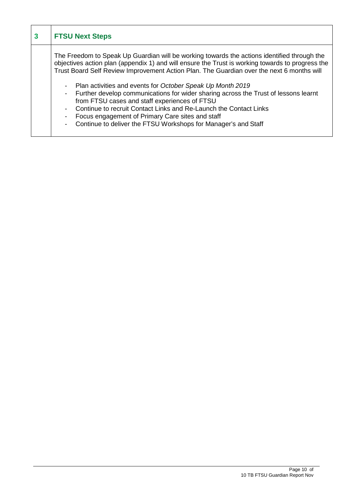| 3 | <b>FTSU Next Steps</b>                                                                                                                                                                                                                                                                                                                                                                                                                                                                                                                                                                                                                                                                                                                                          |
|---|-----------------------------------------------------------------------------------------------------------------------------------------------------------------------------------------------------------------------------------------------------------------------------------------------------------------------------------------------------------------------------------------------------------------------------------------------------------------------------------------------------------------------------------------------------------------------------------------------------------------------------------------------------------------------------------------------------------------------------------------------------------------|
|   | The Freedom to Speak Up Guardian will be working towards the actions identified through the<br>objectives action plan (appendix 1) and will ensure the Trust is working towards to progress the<br>Trust Board Self Review Improvement Action Plan. The Guardian over the next 6 months will<br>Plan activities and events for October Speak Up Month 2019<br>$\blacksquare$<br>- Further develop communications for wider sharing across the Trust of lessons learnt<br>from FTSU cases and staff experiences of FTSU<br>Continue to recruit Contact Links and Re-Launch the Contact Links<br>Focus engagement of Primary Care sites and staff<br>$\overline{\phantom{a}}$<br>Continue to deliver the FTSU Workshops for Manager's and Staff<br>$\blacksquare$ |

I

┓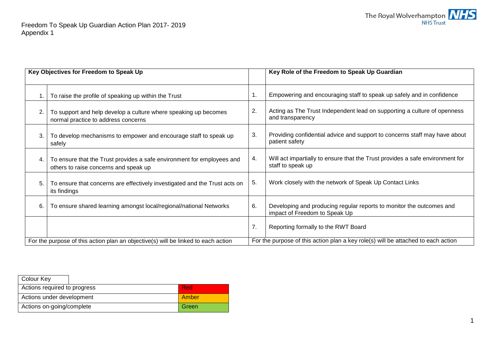

|    | Key Objectives for Freedom to Speak Up                                                                          |               | Key Role of the Freedom to Speak Up Guardian                                                          |
|----|-----------------------------------------------------------------------------------------------------------------|---------------|-------------------------------------------------------------------------------------------------------|
|    | To raise the profile of speaking up within the Trust                                                            | $\mathbf 1$ . | Empowering and encouraging staff to speak up safely and in confidence                                 |
| 2. | To support and help develop a culture where speaking up becomes<br>normal practice to address concerns          | 2.            | Acting as The Trust Independent lead on supporting a culture of openness<br>and transparency          |
| 3. | To develop mechanisms to empower and encourage staff to speak up<br>safely                                      | 3.            | Providing confidential advice and support to concerns staff may have about<br>patient safety          |
| 4. | To ensure that the Trust provides a safe environment for employees and<br>others to raise concerns and speak up | 4.            | Will act impartially to ensure that the Trust provides a safe environment for<br>staff to speak up    |
| 5. | To ensure that concerns are effectively investigated and the Trust acts on<br>its findings                      | 5.            | Work closely with the network of Speak Up Contact Links                                               |
| 6. | To ensure shared learning amongst local/regional/national Networks                                              | 6.            | Developing and producing regular reports to monitor the outcomes and<br>impact of Freedom to Speak Up |
|    |                                                                                                                 | 7.            | Reporting formally to the RWT Board                                                                   |
|    | For the purpose of this action plan an objective(s) will be linked to each action                               |               | For the purpose of this action plan a key role(s) will be attached to each action                     |

| <b>Colour Key</b>            |       |
|------------------------------|-------|
| Actions required to progress | -Red  |
| Actions under development    | Amber |
| Actions on-going/complete    | Green |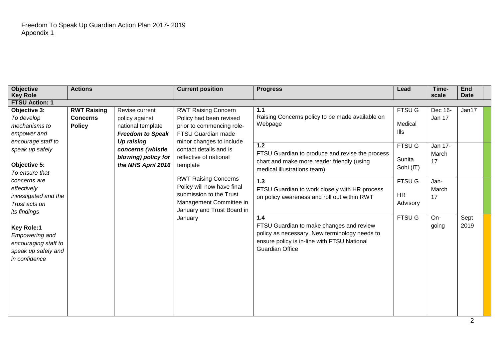| <b>Objective</b>                                                                                           | <b>Actions</b>                                         |                                                                                  | <b>Current position</b>                                                                                                                       | <b>Progress</b>                                                                                                                                                           | Lead                                   | Time-                  | <b>End</b>   |  |
|------------------------------------------------------------------------------------------------------------|--------------------------------------------------------|----------------------------------------------------------------------------------|-----------------------------------------------------------------------------------------------------------------------------------------------|---------------------------------------------------------------------------------------------------------------------------------------------------------------------------|----------------------------------------|------------------------|--------------|--|
| <b>Key Role</b>                                                                                            |                                                        |                                                                                  |                                                                                                                                               |                                                                                                                                                                           |                                        | scale                  | <b>Date</b>  |  |
| <b>FTSU Action: 1</b>                                                                                      |                                                        |                                                                                  |                                                                                                                                               |                                                                                                                                                                           |                                        |                        |              |  |
| Objective 3:<br>To develop<br>mechanisms to<br>empower and                                                 | <b>RWT Raising</b><br><b>Concerns</b><br><b>Policy</b> | Revise current<br>policy against<br>national template<br><b>Freedom to Speak</b> | <b>RWT Raising Concern</b><br>Policy had been revised<br>prior to commencing role-<br>FTSU Guardian made                                      | 1.1<br>Raising Concerns policy to be made available on<br>Webpage                                                                                                         | <b>FTSU G</b><br>Medical<br>llls       | Dec 16-<br>Jan 17      | Jan17        |  |
| encourage staff to<br>speak up safely<br>Objective 5:<br>To ensure that                                    |                                                        | Up raising<br>concerns (whistle<br>blowing) policy for<br>the NHS April 2016     | minor changes to include<br>contact details and is<br>reflective of national<br>template                                                      | $1.2$<br>FTSU Guardian to produce and revise the process<br>chart and make more reader friendly (using<br>medical illustrations team)                                     | <b>FTSU G</b><br>Sunita<br>Sohi (IT)   | Jan 17-<br>March<br>17 |              |  |
| concerns are<br>effectively<br>investigated and the<br>Trust acts on<br>its findings                       |                                                        |                                                                                  | <b>RWT Raising Concerns</b><br>Policy will now have final<br>submission to the Trust<br>Management Committee in<br>January and Trust Board in | $\overline{1.3}$<br>FTSU Guardian to work closely with HR process<br>on policy awareness and roll out within RWT                                                          | <b>FTSU G</b><br><b>HR</b><br>Advisory | Jan-<br>March<br>17    |              |  |
| <b>Key Role:1</b><br><b>Empowering and</b><br>encouraging staff to<br>speak up safely and<br>in confidence |                                                        |                                                                                  | January                                                                                                                                       | 1.4<br>FTSU Guardian to make changes and review<br>policy as necessary. New terminology needs to<br>ensure policy is in-line with FTSU National<br><b>Guardian Office</b> | <b>FTSU G</b>                          | $On-$<br>going         | Sept<br>2019 |  |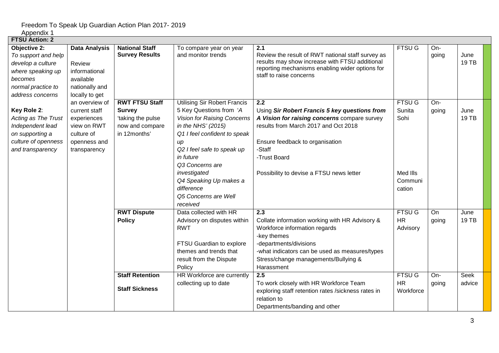| <b>FTSU Action: 2</b>                                                                                                                     |                                                                                                             |                                                                                                |                                                                                                                                                                                                                                                                                                                               |                                                                                                                                                                                                                                                                                                       |                                                                     |                                          |                                        |
|-------------------------------------------------------------------------------------------------------------------------------------------|-------------------------------------------------------------------------------------------------------------|------------------------------------------------------------------------------------------------|-------------------------------------------------------------------------------------------------------------------------------------------------------------------------------------------------------------------------------------------------------------------------------------------------------------------------------|-------------------------------------------------------------------------------------------------------------------------------------------------------------------------------------------------------------------------------------------------------------------------------------------------------|---------------------------------------------------------------------|------------------------------------------|----------------------------------------|
| <b>Objective 2:</b><br>To support and help<br>develop a culture<br>where speaking up<br>becomes<br>normal practice to<br>address concerns | <b>Data Analysis</b><br>Review<br>informational<br>available<br>nationally and<br>locally to get            | <b>National Staff</b><br><b>Survey Results</b>                                                 | To compare year on year<br>and monitor trends                                                                                                                                                                                                                                                                                 | 2.1<br>Review the result of RWT national staff survey as<br>results may show increase with FTSU additional<br>reporting mechanisms enabling wider options for<br>staff to raise concerns                                                                                                              | <b>FTSU G</b>                                                       | On-<br>going                             | June<br>19 TB                          |
| Key Role 2:<br>Acting as The Trust<br>Independent lead<br>on supporting a<br>culture of openness<br>and transparency                      | an overview of<br>current staff<br>experiences<br>view on RWT<br>culture of<br>openness and<br>transparency | <b>RWT FTSU Staff</b><br><b>Survey</b><br>'taking the pulse<br>now and compare<br>in 12months' | <b>Utilising Sir Robert Francis</b><br>5 Key Questions from 'A<br><b>Vision for Raising Concerns</b><br>in the NHS' (2015)<br>Q1 I feel confident to speak<br>$\mu$<br>Q2 I feel safe to speak up<br>in future<br>Q3 Concerns are<br>investigated<br>Q4 Speaking Up makes a<br>difference<br>Q5 Concerns are Well<br>received | 2.2<br>Using Sir Robert Francis 5 key questions from<br>A Vision for raising concerns compare survey<br>results from March 2017 and Oct 2018<br>Ensure feedback to organisation<br>-Staff<br>-Trust Board<br>Possibility to devise a FTSU news letter                                                 | <b>FTSUG</b><br>Sunita<br>Sohi<br>Med IIIs<br>Communi<br>cation     | On-<br>going                             | June<br>19 TB                          |
|                                                                                                                                           |                                                                                                             | <b>RWT Dispute</b><br><b>Policy</b><br><b>Staff Retention</b>                                  | Data collected with HR<br>Advisory on disputes within<br><b>RWT</b><br>FTSU Guardian to explore<br>themes and trends that<br>result from the Dispute<br>Policy<br>HR Workforce are currently<br>collecting up to date                                                                                                         | $\overline{2.3}$<br>Collate information working with HR Advisory &<br>Workforce information regards<br>-key themes<br>-departments/divisions<br>-what indicators can be used as measures/types<br>Stress/change managements/Bullying &<br>Harassment<br>2.5<br>To work closely with HR Workforce Team | <b>FTSU G</b><br><b>HR</b><br>Advisory<br><b>FTSUG</b><br><b>HR</b> | $\overline{On}$<br>going<br>On-<br>going | June<br>19 TB<br><b>Seek</b><br>advice |
|                                                                                                                                           |                                                                                                             | <b>Staff Sickness</b>                                                                          |                                                                                                                                                                                                                                                                                                                               | exploring staff retention rates /sickness rates in<br>relation to<br>Departments/banding and other                                                                                                                                                                                                    | Workforce                                                           |                                          |                                        |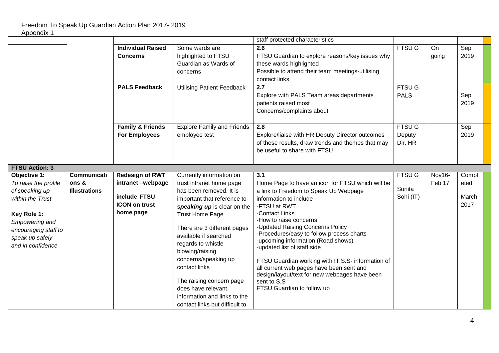|                                        |                      |                                            |                                                                | staff protected characteristics                                                               |               |        |               |
|----------------------------------------|----------------------|--------------------------------------------|----------------------------------------------------------------|-----------------------------------------------------------------------------------------------|---------------|--------|---------------|
|                                        |                      | <b>Individual Raised</b>                   | Some wards are                                                 | 2.6                                                                                           | <b>FTSUG</b>  | On     | Sep           |
|                                        |                      | <b>Concerns</b>                            | highlighted to FTSU                                            | FTSU Guardian to explore reasons/key issues why                                               |               | going  | 2019          |
|                                        |                      |                                            | Guardian as Wards of                                           | these wards highlighted                                                                       |               |        |               |
|                                        |                      |                                            | concerns                                                       | Possible to attend their team meetings-utilising                                              |               |        |               |
|                                        |                      |                                            |                                                                | contact links                                                                                 |               |        |               |
|                                        |                      | <b>PALS Feedback</b>                       | <b>Utilising Patient Feedback</b>                              | 2.7                                                                                           | <b>FTSU G</b> |        |               |
|                                        |                      |                                            |                                                                | Explore with PALS Team areas departments                                                      | <b>PALS</b>   |        | Sep           |
|                                        |                      |                                            |                                                                | patients raised most                                                                          |               |        | 2019          |
|                                        |                      |                                            |                                                                | Concerns/complaints about                                                                     |               |        |               |
|                                        |                      |                                            |                                                                |                                                                                               |               |        |               |
|                                        |                      | <b>Family &amp; Friends</b>                | <b>Explore Family and Friends</b>                              | 2.8                                                                                           | <b>FTSU G</b> |        | Sep           |
|                                        |                      | <b>For Employees</b>                       | employee test                                                  | Explore/liaise with HR Deputy Director outcomes                                               | Deputy        |        | 2019          |
|                                        |                      |                                            |                                                                | of these results, draw trends and themes that may                                             | Dir. HR       |        |               |
|                                        |                      |                                            |                                                                | be useful to share with FTSU                                                                  |               |        |               |
|                                        |                      |                                            |                                                                |                                                                                               |               |        |               |
| <b>FTSU Action: 3</b>                  |                      |                                            |                                                                |                                                                                               |               |        |               |
|                                        |                      |                                            |                                                                |                                                                                               |               |        |               |
|                                        | <b>Communicati</b>   |                                            |                                                                | 3.1                                                                                           | <b>FTSU G</b> | Nov16- |               |
| Objective 1:                           | ons &                | <b>Redesign of RWT</b><br>intranet-webpage | Currently information on<br>trust intranet home page           | Home Page to have an icon for FTSU which will be                                              |               | Feb 17 | Compl<br>eted |
| To raise the profile<br>of speaking up | <b>Illustrations</b> |                                            | has been removed. It is                                        | a link to Freedom to Speak Up Webpage                                                         | Sunita        |        |               |
| within the Trust                       |                      | include FTSU                               |                                                                | information to include                                                                        | Sohi (IT)     |        | March         |
|                                        |                      | <b>ICON on trust</b>                       | important that reference to                                    | -FTSU at RWT                                                                                  |               |        | 2017          |
|                                        |                      | home page                                  | speaking up is clear on the                                    | -Contact Links                                                                                |               |        |               |
| Key Role 1:                            |                      |                                            | <b>Trust Home Page</b>                                         | -How to raise concerns                                                                        |               |        |               |
| <b>Empowering and</b>                  |                      |                                            | There are 3 different pages                                    | -Updated Raising Concerns Policy                                                              |               |        |               |
| encouraging staff to                   |                      |                                            | available if searched                                          | -Procedures/easy to follow process charts                                                     |               |        |               |
| speak up safely<br>and in confidence   |                      |                                            | regards to whistle                                             | -upcoming information (Road shows)                                                            |               |        |               |
|                                        |                      |                                            | blowing/raising                                                | -updated list of staff side                                                                   |               |        |               |
|                                        |                      |                                            | concerns/speaking up                                           |                                                                                               |               |        |               |
|                                        |                      |                                            | contact links                                                  | FTSU Guardian working with IT S.S- information of<br>all current web pages have been sent and |               |        |               |
|                                        |                      |                                            |                                                                | design/layout/text for new webpages have been                                                 |               |        |               |
|                                        |                      |                                            | The raising concern page                                       | sent to S.S                                                                                   |               |        |               |
|                                        |                      |                                            | does have relevant                                             | FTSU Guardian to follow up                                                                    |               |        |               |
|                                        |                      |                                            | information and links to the<br>contact links but difficult to |                                                                                               |               |        |               |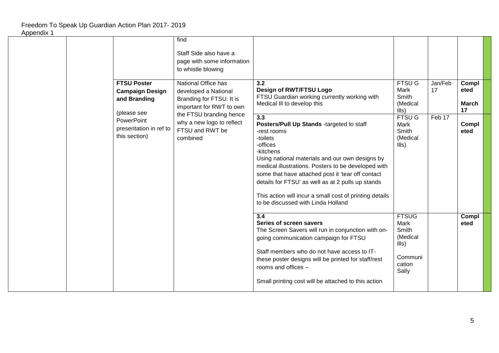#### find Staff Side also have a page with some information to whistle blowing **FTSU Poster Campaign Design and Branding** (please see **PowerPoint** presentation in ref to this section) National Office has developed a National Branding for FTSU. It is important for RWT to own the FTSU branding hence why a new logo to reflect FTSU and RWT be combined **3.2 Design of RWT/FTSU Logo** FTSU Guardian working currently working with Medical Ill to develop this FTSU G Mark Smith (Medical Ills) Jan/Feb 17 **Compl eted March 17 3.3 Posters/Pull Up Stands** -targeted to staff -rest rooms -toilets -offices -kitchens Using national materials and our own designs by **FTSU G** Mark Smith (Medical Ills) Feb 17 **Compl eted** medical illustrations. Posters to be developed with some that have attached post it 'tear off contact details for FTSU' as well as at 2 pulls up stands This action will incur a small cost of printing details to be discussed with Linda Holland **3.4 Series of screen savers** The Screen Savers will run in conjunction with on-**FTSUG** Mark Smith (Medical Ills) Communi cation **Compl eted** going communication campaign for FTSU Staff members who do not have access to ITthese poster designs will be printed for staff/rest rooms and offices –

Small printing cost will be attached to this action

Sally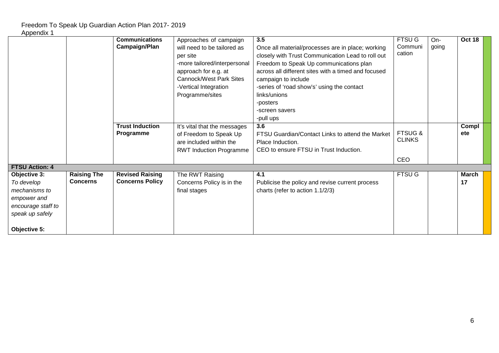|                                                                                                     |                                       | <b>Communications</b><br><b>Campaign/Plan</b>    | Approaches of campaign<br>will need to be tailored as<br>per site<br>-more tailored/interpersonal<br>approach for e.g. at<br><b>Cannock/West Park Sites</b><br>-Vertical Integration<br>Programme/sites | 3.5<br>Once all material/processes are in place; working<br>closely with Trust Communication Lead to roll out<br>Freedom to Speak Up communications plan<br>across all different sites with a timed and focused<br>campaign to include<br>-series of 'road show's' using the contact<br>links/unions<br>-posters<br>-screen savers<br>-pull ups | <b>FTSU G</b><br>Communi<br>cation  | On-<br>going | Oct 18       |  |
|-----------------------------------------------------------------------------------------------------|---------------------------------------|--------------------------------------------------|---------------------------------------------------------------------------------------------------------------------------------------------------------------------------------------------------------|-------------------------------------------------------------------------------------------------------------------------------------------------------------------------------------------------------------------------------------------------------------------------------------------------------------------------------------------------|-------------------------------------|--------------|--------------|--|
|                                                                                                     |                                       | <b>Trust Induction</b><br>Programme              | It's vital that the messages<br>of Freedom to Speak Up<br>are included within the<br><b>RWT Induction Programme</b>                                                                                     | 3.6<br>FTSU Guardian/Contact Links to attend the Market<br>Place Induction.<br>CEO to ensure FTSU in Trust Induction.                                                                                                                                                                                                                           | <b>FTSUG &amp;</b><br><b>CLINKS</b> |              | Compl<br>ete |  |
|                                                                                                     |                                       |                                                  |                                                                                                                                                                                                         |                                                                                                                                                                                                                                                                                                                                                 | <b>CEO</b>                          |              |              |  |
| <b>FTSU Action: 4</b>                                                                               |                                       |                                                  |                                                                                                                                                                                                         | 4.1                                                                                                                                                                                                                                                                                                                                             |                                     |              | <b>March</b> |  |
| Objective 3:<br>To develop<br>mechanisms to<br>empower and<br>encourage staff to<br>speak up safely | <b>Raising The</b><br><b>Concerns</b> | <b>Revised Raising</b><br><b>Concerns Policy</b> | The RWT Raising<br>Concerns Policy is in the<br>final stages                                                                                                                                            | Publicise the policy and revise current process<br>charts (refer to action 1.1/2/3)                                                                                                                                                                                                                                                             | <b>FTSU G</b>                       |              | 17           |  |
| Objective 5:                                                                                        |                                       |                                                  |                                                                                                                                                                                                         |                                                                                                                                                                                                                                                                                                                                                 |                                     |              |              |  |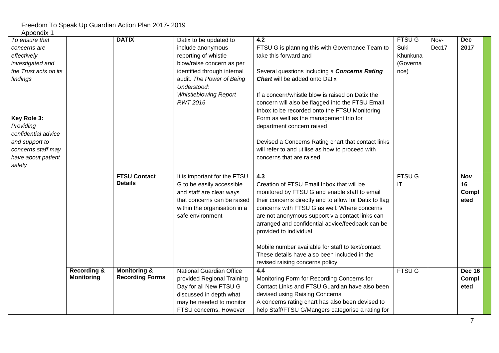| <b>APPELIUIA</b> I<br>To ensure that |                                             | <b>DATIX</b>                                      | Datix to be updated to                            | $\overline{4.2}$                                                                             | <b>FTSUG</b>  | Nov-  | <b>Dec</b>    |  |
|--------------------------------------|---------------------------------------------|---------------------------------------------------|---------------------------------------------------|----------------------------------------------------------------------------------------------|---------------|-------|---------------|--|
| concerns are                         |                                             |                                                   | include anonymous                                 | FTSU G is planning this with Governance Team to                                              | Suki          | Dec17 | 2017          |  |
| effectively                          |                                             |                                                   | reporting of whistle                              | take this forward and                                                                        | Khunkuna      |       |               |  |
| investigated and                     |                                             |                                                   | blow/raise concern as per                         |                                                                                              | (Governa      |       |               |  |
| the Trust acts on its                |                                             |                                                   | identified through internal                       | Several questions including a Concerns Rating                                                | nce)          |       |               |  |
| findings                             |                                             |                                                   | audit. The Power of Being                         | <b>Chart</b> will be added onto Datix                                                        |               |       |               |  |
|                                      |                                             |                                                   | Understood:                                       |                                                                                              |               |       |               |  |
|                                      |                                             |                                                   | <b>Whistleblowing Report</b>                      | If a concern/whistle blow is raised on Datix the                                             |               |       |               |  |
|                                      |                                             |                                                   | <b>RWT 2016</b>                                   | concern will also be flagged into the FTSU Email                                             |               |       |               |  |
|                                      |                                             |                                                   |                                                   | Inbox to be recorded onto the FTSU Monitoring                                                |               |       |               |  |
| Key Role 3:                          |                                             |                                                   |                                                   | Form as well as the management trio for                                                      |               |       |               |  |
| Providing                            |                                             |                                                   |                                                   | department concern raised                                                                    |               |       |               |  |
| confidential advice                  |                                             |                                                   |                                                   |                                                                                              |               |       |               |  |
| and support to                       |                                             |                                                   |                                                   | Devised a Concerns Rating chart that contact links                                           |               |       |               |  |
| concerns staff may                   |                                             |                                                   |                                                   | will refer to and utilise as how to proceed with                                             |               |       |               |  |
| have about patient                   |                                             |                                                   |                                                   | concerns that are raised                                                                     |               |       |               |  |
| safety                               |                                             |                                                   |                                                   |                                                                                              |               |       |               |  |
|                                      |                                             | <b>FTSU Contact</b>                               | It is important for the FTSU                      | 4.3                                                                                          | <b>FTSUG</b>  |       | <b>Nov</b>    |  |
|                                      |                                             | <b>Details</b>                                    | G to be easily accessible                         | Creation of FTSU Email Inbox that will be                                                    | IT            |       | 16            |  |
|                                      |                                             |                                                   | and staff are clear ways                          | monitored by FTSU G and enable staff to email                                                |               |       | Compl         |  |
|                                      |                                             |                                                   | that concerns can be raised                       | their concerns directly and to allow for Datix to flag                                       |               |       | eted          |  |
|                                      |                                             |                                                   | within the organisation in a                      | concerns with FTSU G as well. Where concerns                                                 |               |       |               |  |
|                                      |                                             |                                                   | safe environment                                  | are not anonymous support via contact links can                                              |               |       |               |  |
|                                      |                                             |                                                   |                                                   | arranged and confidential advice/feedback can be                                             |               |       |               |  |
|                                      |                                             |                                                   |                                                   | provided to individual                                                                       |               |       |               |  |
|                                      |                                             |                                                   |                                                   |                                                                                              |               |       |               |  |
|                                      |                                             |                                                   |                                                   | Mobile number available for staff to text/contact                                            |               |       |               |  |
|                                      |                                             |                                                   |                                                   | These details have also been included in the                                                 |               |       |               |  |
|                                      |                                             |                                                   |                                                   | revised raising concerns policy                                                              |               |       |               |  |
|                                      | <b>Recording &amp;</b><br><b>Monitoring</b> | <b>Monitoring &amp;</b><br><b>Recording Forms</b> | National Guardian Office                          | 4.4                                                                                          | <b>FTSU G</b> |       | <b>Dec 16</b> |  |
|                                      |                                             |                                                   | provided Regional Training                        | Monitoring Form for Recording Concerns for<br>Contact Links and FTSU Guardian have also been |               |       | Compl         |  |
|                                      |                                             |                                                   | Day for all New FTSU G<br>discussed in depth what | devised using Raising Concerns                                                               |               |       | eted          |  |
|                                      |                                             |                                                   | may be needed to monitor                          | A concerns rating chart has also been devised to                                             |               |       |               |  |
|                                      |                                             |                                                   | FTSU concerns. However                            | help Staff/FTSU G/Mangers categorise a rating for                                            |               |       |               |  |
|                                      |                                             |                                                   |                                                   |                                                                                              |               |       |               |  |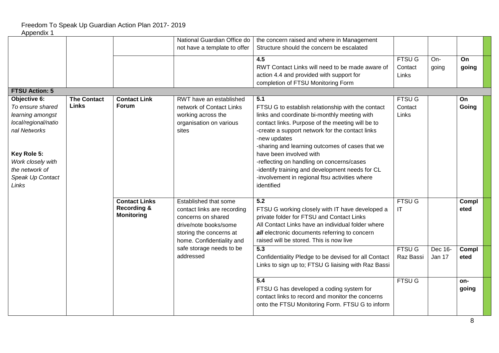|                       |                    |                        | National Guardian Office do  | the concern raised and where in Management           |               |         |       |  |
|-----------------------|--------------------|------------------------|------------------------------|------------------------------------------------------|---------------|---------|-------|--|
|                       |                    |                        | not have a template to offer | Structure should the concern be escalated            |               |         |       |  |
|                       |                    |                        |                              | 4.5                                                  | <b>FTSU G</b> | On-     | On    |  |
|                       |                    |                        |                              | RWT Contact Links will need to be made aware of      | Contact       |         |       |  |
|                       |                    |                        |                              |                                                      |               | going   | going |  |
|                       |                    |                        |                              | action 4.4 and provided with support for             | Links         |         |       |  |
|                       |                    |                        |                              | completion of FTSU Monitoring Form                   |               |         |       |  |
| <b>FTSU Action: 5</b> |                    |                        |                              |                                                      |               |         |       |  |
| Objective 6:          | <b>The Contact</b> | <b>Contact Link</b>    | RWT have an established      | 5.1                                                  | <b>FTSUG</b>  |         | On    |  |
| To ensure shared      | <b>Links</b>       | <b>Forum</b>           | network of Contact Links     | FTSU G to establish relationship with the contact    | Contact       |         | Going |  |
| learning amongst      |                    |                        | working across the           | links and coordinate bi-monthly meeting with         | Links         |         |       |  |
| local/regional/natio  |                    |                        | organisation on various      | contact links. Purpose of the meeting will be to     |               |         |       |  |
| nal Networks          |                    |                        | sites                        | -create a support network for the contact links      |               |         |       |  |
|                       |                    |                        |                              | -new updates                                         |               |         |       |  |
|                       |                    |                        |                              | -sharing and learning outcomes of cases that we      |               |         |       |  |
| Key Role 5:           |                    |                        |                              | have been involved with                              |               |         |       |  |
| Work closely with     |                    |                        |                              | -reflecting on handling on concerns/cases            |               |         |       |  |
| the network of        |                    |                        |                              | -identify training and development needs for CL      |               |         |       |  |
| Speak Up Contact      |                    |                        |                              | -involvement in regional ftsu activities where       |               |         |       |  |
| Links                 |                    |                        |                              | identified                                           |               |         |       |  |
|                       |                    |                        |                              |                                                      |               |         |       |  |
|                       |                    | <b>Contact Links</b>   | Established that some        | 5.2                                                  | FTSU G        |         | Compl |  |
|                       |                    | <b>Recording &amp;</b> | contact links are recording  |                                                      | IT            |         | eted  |  |
|                       |                    | <b>Monitoring</b>      | concerns on shared           | FTSU G working closely with IT have developed a      |               |         |       |  |
|                       |                    |                        |                              | private folder for FTSU and Contact Links            |               |         |       |  |
|                       |                    |                        | drive/note books/some        | All Contact Links have an individual folder where    |               |         |       |  |
|                       |                    |                        | storing the concerns at      | all electronic documents referring to concern        |               |         |       |  |
|                       |                    |                        | home. Confidentiality and    | raised will be stored. This is now live              |               |         |       |  |
|                       |                    |                        | safe storage needs to be     | 5.3                                                  | <b>FTSU G</b> | Dec 16- | Compl |  |
|                       |                    |                        | addressed                    | Confidentiality Pledge to be devised for all Contact | Raz Bassi     | Jan 17  | eted  |  |
|                       |                    |                        |                              | Links to sign up to; FTSU G liaising with Raz Bassi  |               |         |       |  |
|                       |                    |                        |                              |                                                      |               |         |       |  |
|                       |                    |                        |                              | 5.4                                                  | <b>FTSUG</b>  |         | on-   |  |
|                       |                    |                        |                              | FTSU G has developed a coding system for             |               |         | going |  |
|                       |                    |                        |                              | contact links to record and monitor the concerns     |               |         |       |  |
|                       |                    |                        |                              | onto the FTSU Monitoring Form. FTSU G to inform      |               |         |       |  |
|                       |                    |                        |                              |                                                      |               |         |       |  |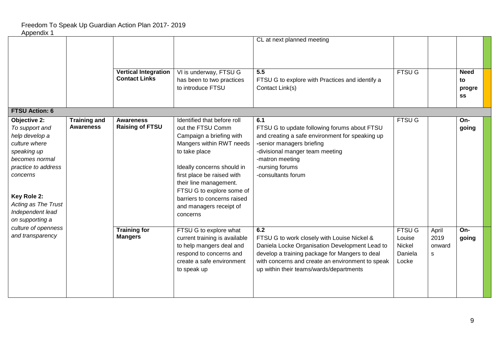|                               |                     |                             |                               | CL at next planned meeting                         |               |        |              |  |
|-------------------------------|---------------------|-----------------------------|-------------------------------|----------------------------------------------------|---------------|--------|--------------|--|
|                               |                     |                             |                               |                                                    |               |        |              |  |
|                               |                     |                             |                               |                                                    |               |        |              |  |
|                               |                     | <b>Vertical Integration</b> | VI is underway, FTSU G        | 5.5                                                | <b>FTSU G</b> |        | <b>Need</b>  |  |
|                               |                     | <b>Contact Links</b>        | has been to two practices     | FTSU G to explore with Practices and identify a    |               |        | to           |  |
|                               |                     |                             | to introduce FTSU             | Contact Link(s)                                    |               |        | progre<br>SS |  |
|                               |                     |                             |                               |                                                    |               |        |              |  |
| <b>FTSU Action: 6</b>         |                     |                             |                               |                                                    |               |        |              |  |
| Objective 2:                  | <b>Training and</b> | <b>Awareness</b>            | Identified that before roll   | 6.1                                                | <b>FTSU G</b> |        | On-          |  |
| To support and                | <b>Awareness</b>    | <b>Raising of FTSU</b>      | out the FTSU Comm             | FTSU G to update following forums about FTSU       |               |        | going        |  |
| help develop a                |                     |                             | Campaign a briefing with      | and creating a safe environment for speaking up    |               |        |              |  |
| culture where                 |                     |                             | Mangers within RWT needs      | -senior managers briefing                          |               |        |              |  |
| speaking up<br>becomes normal |                     |                             | to take place                 | -divisional manger team meeting<br>-matron meeting |               |        |              |  |
| practice to address           |                     |                             | Ideally concerns should in    | -nursing forums                                    |               |        |              |  |
| concerns                      |                     |                             | first place be raised with    | -consultants forum                                 |               |        |              |  |
|                               |                     |                             | their line management.        |                                                    |               |        |              |  |
|                               |                     |                             | FTSU G to explore some of     |                                                    |               |        |              |  |
| Key Role 2:                   |                     |                             | barriers to concerns raised   |                                                    |               |        |              |  |
| Acting as The Trust           |                     |                             | and managers receipt of       |                                                    |               |        |              |  |
| Independent lead              |                     |                             | concerns                      |                                                    |               |        |              |  |
| on supporting a               |                     |                             |                               |                                                    |               |        |              |  |
| culture of openness           |                     | <b>Training for</b>         | FTSU G to explore what        | 6.2                                                | FTSU G        | April  | On-          |  |
| and transparency              |                     | <b>Mangers</b>              | current training is available | FTSU G to work closely with Louise Nickel &        | Louise        | 2019   | going        |  |
|                               |                     |                             | to help mangers deal and      | Daniela Locke Organisation Development Lead to     | Nickel        | onward |              |  |
|                               |                     |                             | respond to concerns and       | develop a training package for Mangers to deal     | Daniela       | s      |              |  |
|                               |                     |                             | create a safe environment     | with concerns and create an environment to speak   | Locke         |        |              |  |
|                               |                     |                             | to speak up                   | up within their teams/wards/departments            |               |        |              |  |
|                               |                     |                             |                               |                                                    |               |        |              |  |
|                               |                     |                             |                               |                                                    |               |        |              |  |
|                               |                     |                             |                               |                                                    |               |        |              |  |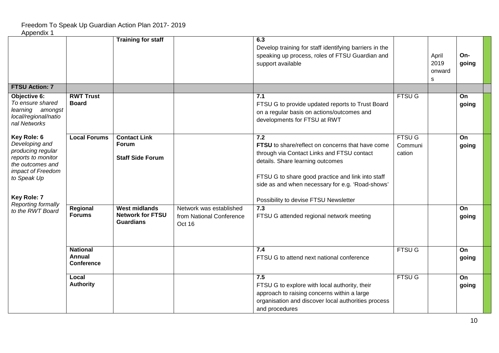|                                                                                                                                                 |                                                | <b>Training for staff</b>                                           |                                                               | 6.3<br>Develop training for staff identifying barriers in the<br>speaking up process, roles of FTSU Guardian and<br>support available                                                                                                                                                       |                                    | April<br>2019<br>onward<br>s | On-<br>going |
|-------------------------------------------------------------------------------------------------------------------------------------------------|------------------------------------------------|---------------------------------------------------------------------|---------------------------------------------------------------|---------------------------------------------------------------------------------------------------------------------------------------------------------------------------------------------------------------------------------------------------------------------------------------------|------------------------------------|------------------------------|--------------|
| <b>FTSU Action: 7</b>                                                                                                                           |                                                |                                                                     |                                                               |                                                                                                                                                                                                                                                                                             |                                    |                              |              |
| Objective 6:<br>To ensure shared<br>learning amongst<br>local/regional/natio<br>nal Networks                                                    | <b>RWT Trust</b><br><b>Board</b>               |                                                                     |                                                               | 7.1<br>FTSU G to provide updated reports to Trust Board<br>on a regular basis on actions/outcomes and<br>developments for FTSU at RWT                                                                                                                                                       | <b>FTSU G</b>                      |                              | On<br>going  |
| Key Role: 6<br>Developing and<br>producing regular<br>reports to monitor<br>the outcomes and<br>impact of Freedom<br>to Speak Up<br>Key Role: 7 | <b>Local Forums</b>                            | <b>Contact Link</b><br>Forum<br><b>Staff Side Forum</b>             |                                                               | 7.2<br>FTSU to share/reflect on concerns that have come<br>through via Contact Links and FTSU contact<br>details. Share learning outcomes<br>FTSU G to share good practice and link into staff<br>side as and when necessary for e.g. 'Road-shows'<br>Possibility to devise FTSU Newsletter | <b>FTSU G</b><br>Communi<br>cation |                              | On<br>going  |
| Reporting formally<br>to the RWT Board                                                                                                          | Regional<br><b>Forums</b>                      | <b>West midlands</b><br><b>Network for FTSU</b><br><b>Guardians</b> | Network was established<br>from National Conference<br>Oct 16 | 7.3<br>FTSU G attended regional network meeting                                                                                                                                                                                                                                             |                                    |                              | On<br>going  |
|                                                                                                                                                 | <b>National</b><br>Annual<br><b>Conference</b> |                                                                     |                                                               | 7.4<br>FTSU G to attend next national conference                                                                                                                                                                                                                                            | <b>FTSU G</b>                      |                              | On<br>going  |
|                                                                                                                                                 | Local<br><b>Authority</b>                      |                                                                     |                                                               | 7.5<br>FTSU G to explore with local authority, their<br>approach to raising concerns within a large<br>organisation and discover local authorities process<br>and procedures                                                                                                                | <b>FTSU G</b>                      |                              | On<br>going  |